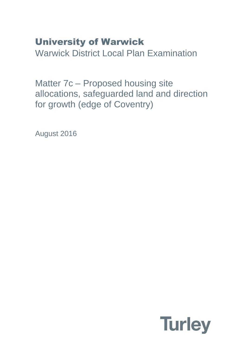# University of Warwick

Warwick District Local Plan Examination

Matter 7c – Proposed housing site allocations, safeguarded land and direction for growth (edge of Coventry)

August 2016

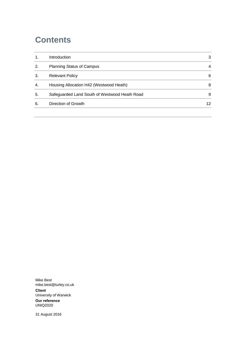### **Contents**

| Introduction                                  | 3  |
|-----------------------------------------------|----|
| <b>Planning Status of Campus</b>              | 4  |
| <b>Relevant Policy</b>                        | 6  |
| Housing Allocation H42 (Westwood Heath)       | 8  |
| Safeguarded Land South of Westwood Heath Road | 9  |
| Direction of Growth                           | 12 |
|                                               |    |

Mike Best mike.best@turley.co.uk **Client** University of Warwick

**Our reference** UNIQ2020

31 August 2016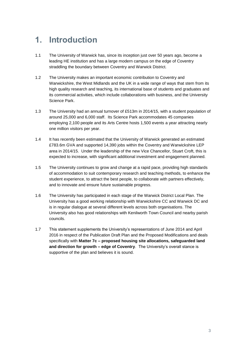### <span id="page-2-0"></span>**1. Introduction**

- 1.1 The University of Warwick has, since its inception just over 50 years ago, become a leading HE institution and has a large modern campus on the edge of Coventry straddling the boundary between Coventry and Warwick District.
- 1.2 The University makes an important economic contribution to Coventry and Warwickshire, the West Midlands and the UK in a wide range of ways that stem from its high quality research and teaching, its international base of students and graduates and its commercial activities, which include collaborations with business, and the University Science Park.
- 1.3 The University had an annual turnover of £513m in 2014/15, with a student population of around 25,000 and 6,000 staff. Its Science Park accommodates 45 companies employing 2,100 people and its Arts Centre hosts 1,500 events a year attracting nearly one million visitors per year.
- 1.4 It has recently been estimated that the University of Warwick generated an estimated £783.6m GVA and supported 14,390 jobs within the Coventry and Warwickshire LEP area in 2014/15. Under the leadership of the new Vice Chancellor, Stuart Croft, this is expected to increase, with significant additional investment and engagement planned.
- 1.5 The University continues to grow and change at a rapid pace, providing high standards of accommodation to suit contemporary research and teaching methods, to enhance the student experience, to attract the best people, to collaborate with partners effectively, and to innovate and ensure future sustainable progress.
- 1.6 The University has participated in each stage of the Warwick District Local Plan. The University has a good working relationship with Warwickshire CC and Warwick DC and is in regular dialogue at several different levels across both organisations. The University also has good relationships with Kenilworth Town Council and nearby parish councils.
- 1.7 This statement supplements the University's representations of June 2014 and April 2016 in respect of the Publication Draft Plan and the Proposed Modifications and deals specifically with **Matter 7c – proposed housing site allocations, safeguarded land and direction for growth – edge of Coventry**. The University's overall stance is supportive of the plan and believes it is sound.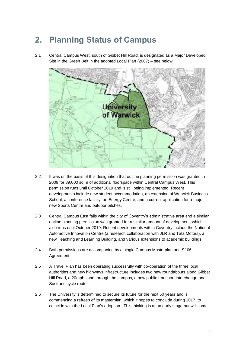## <span id="page-3-0"></span>**2. Planning Status of Campus**

2.1 Central Campus West, south of Gibbet Hill Road, is designated as a Major Developed Site in the Green Belt in the adopted Local Plan (2007) – see below.



- 2.2 It was on the basis of this designation that outline planning permission was granted in 2009 for 89,000 sq.m of additional floorspace within Central Campus West. This permission runs until October 2019 and is still being implemented. Recent developments include new student accommodation, an extension of Warwick Business School, a conference facility, an Energy Centre, and a current application for a major new Sports Centre and outdoor pitches.
- 2.3 Central Campus East falls within the city of Coventry's administrative area and a similar outline planning permission was granted for a similar amount of development, which also runs until October 2019. Recent developments within Coventry include the National Automotive Innovation Centre (a research collaboration with JLR and Tata Motors), a new Teaching and Learning Building, and various extensions to academic buildings.
- 2.4 Both permissions are accompanied by a single Campus Masterplan and S106 Agreement.
- 2.5 A Travel Plan has been operating successfully with co-operation of the three local authorities and new highways infrastructure includes two new roundabouts along Gibbet Hill Road, a 20mph zone through the campus, a new public transport interchange and Sustrans cycle route.
- 2.6 The University is determined to secure its future for the next 50 years and is commencing a refresh of its masterplan, which it hopes to conclude during 2017, to coincide with the Local Plan's adoption. This thinking is at an early stage but will come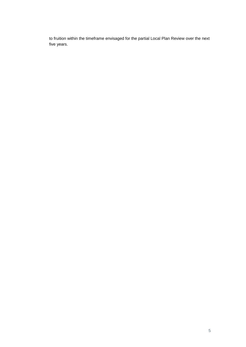to fruition within the timeframe envisaged for the partial Local Plan Review over the next five years.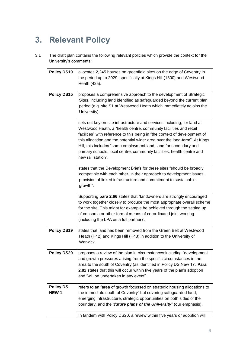## <span id="page-5-0"></span>**3. Relevant Policy**

3.1 The draft plan contains the following relevant policies which provide the context for the University's comments:

| Policy DS10                     | allocates 2,245 houses on greenfield sites on the edge of Coventry in<br>the period up to 2029, specifically at Kings Hill (1800) and Westwood<br>Heath (425).                                                                                                                                                                                                                                                                                                                |
|---------------------------------|-------------------------------------------------------------------------------------------------------------------------------------------------------------------------------------------------------------------------------------------------------------------------------------------------------------------------------------------------------------------------------------------------------------------------------------------------------------------------------|
| <b>Policy DS15</b>              | proposes a comprehensive approach to the development of Strategic<br>Sites, including land identified as safeguarded beyond the current plan<br>period (e.g. site S1 at Westwood Heath which immediately adjoins the<br>University).                                                                                                                                                                                                                                          |
|                                 | sets out key on-site infrastructure and services including, for land at<br>Westwood Heath, a "health centre, community facilities and retail<br>facilities" with reference to this being in "the context of development of<br>this allocation and the potential wider area over the long-term". At Kings<br>Hill, this includes "some employment land, land for secondary and<br>primary schools, local centre, community facilities, health centre and<br>new rail station". |
|                                 | states that the Development Briefs for these sites "should be broadly<br>compatible with each other, in their approach to development issues,<br>provision of linked infrastructure and commitment to sustainable<br>growth".                                                                                                                                                                                                                                                 |
|                                 | Supporting para 2.66 states that "landowners are strongly encouraged<br>to work together closely to produce the most appropriate overall scheme<br>for the site. This might for example be achieved through the setting up<br>of consortia or other formal means of co-ordinated joint working<br>(including the LPA as a full partner)".                                                                                                                                     |
| <b>Policy DS19</b>              | states that land has been removed from the Green Belt at Westwood<br>Heath (H42) and Kings Hill (H43) in addition to the University of<br>Warwick.                                                                                                                                                                                                                                                                                                                            |
| <b>Policy DS20</b>              | proposes a review of the plan in circumstances including "development<br>and growth pressures arising from the specific circumstances in the<br>area to the south of Coventry (as identified in Policy DS New 1)". Para<br>2.82 states that this will occur within five years of the plan's adoption<br>and "will be undertaken in any event".                                                                                                                                |
| <b>Policy DS</b><br><b>NEW1</b> | refers to an "area of growth focussed on strategic housing allocations to<br>the immediate south of Coventry" but covering safeguarded land,<br>emerging infrastructure, strategic opportunities on both sides of the<br>boundary, and the "future plans of the University" (our emphasis).                                                                                                                                                                                   |
|                                 | In tandem with Policy DS20, a review within five years of adoption will                                                                                                                                                                                                                                                                                                                                                                                                       |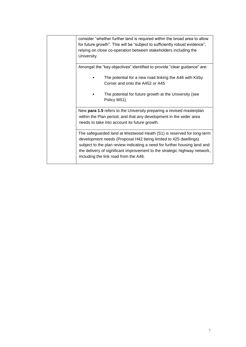| consider "whether further land is required within the broad area to allow<br>for future growth". This will be "subject to sufficiently robust evidence",<br>relying on close co-operation between stakeholders including the<br>University.                                                                                                 |
|---------------------------------------------------------------------------------------------------------------------------------------------------------------------------------------------------------------------------------------------------------------------------------------------------------------------------------------------|
| Amongst the "key objectives" identified to provide "clear guidance" are:                                                                                                                                                                                                                                                                    |
| The potential for a new road linking the A46 with Kirby<br>Corner and onto the A452 or A45                                                                                                                                                                                                                                                  |
| The potential for future growth at the University (see<br>Policy MS1)                                                                                                                                                                                                                                                                       |
| New para 1.5 refers to the University preparing a revised masterplan<br>within the Plan period, and that any development in the wider area<br>needs to take into account its future growth.                                                                                                                                                 |
| The safeguarded land at Westwood Heath (S1) is reserved for long-term<br>development needs (Proposal H42 being limited to 425 dwellings)<br>subject to the plan review indicating a need for further housing land and<br>the delivery of significant improvement to the strategic highway network,<br>including the link road from the A46. |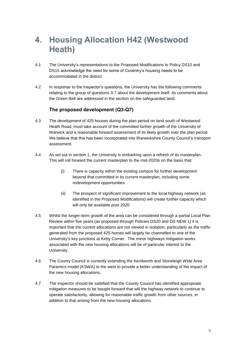### <span id="page-7-0"></span>**4. Housing Allocation H42 (Westwood Heath)**

- 4.1 The University's representations to the Proposed Modifications to Policy DS10 and DS15 acknowledge the need for some of Coventry's housing needs to be accommodated in the district.
- 4.2 In response to the Inspector's questions, the University has the following comments relating to the group of questions 3-7 about the development itself. Its comments about the Green Belt are addressed in the section on the safeguarded land.

#### **The proposed development (Q3-Q7)**

- 4.3 The development of 425 houses during the plan period on land south of Westwood Heath Road, must take account of the committed further growth of the University of Warwick and a reasonable forward assessment of its likely growth over the plan period. We believe that this has been incorporated into Warwickshire County Council's transport assessment.
- 4.4 As set out in section 1, the University is embarking upon a refresh of its masterplan. This will roll forward the current masterplan to the mid-2020s on the basis that:
	- (i) There is capacity within the existing campus for further development beyond that committed in its current masterplan, including some redevelopment opportunities
	- (ii) The prospect of significant improvement to the local highway network (as identified in the Proposed Modifications) will create further capacity which will only be available post 2020
- 4.5 Whilst the longer-term growth of the area can be considered through a partial Local Plan Review within five years (as proposed through Policies DS20 and DS NEW 1) it is important that the current allocations are not viewed in isolation, particularly as the traffic generated from the proposed 425 homes will largely be channelled to one of the University's key junctions at Kirby Corner. The minor highways mitigation works associated with the new housing allocations will be of particular interest to the University.
- 4.6 The County Council is currently extending the Kenilworth and Stoneleigh Wide Area Paramics model (KSWA) to the west to provide a better understanding of the impact of the new housing allocations.
- 4.7 The inspector should be satisfied that the County Council has identified appropriate mitigation measures to be bought forward that will the highway network to continue to operate satisfactorily, allowing for reasonable traffic growth from other sources, in addition to that arising from the new housing allocations.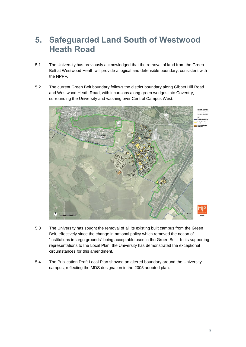### <span id="page-8-0"></span>**5. Safeguarded Land South of Westwood Heath Road**

- 5.1 The University has previously acknowledged that the removal of land from the Green Belt at Westwood Heath will provide a logical and defensible boundary, consistent with the NPPF.
- 5.2 The current Green Belt boundary follows the district boundary along Gibbet Hill Road and Westwood Heath Road, with incursions along green wedges into Coventry, surrounding the University and washing over Central Campus West.



- 5.3 The University has sought the removal of all its existing built campus from the Green Belt, effectively since the change in national policy which removed the notion of "institutions in large grounds" being acceptable uses in the Green Belt. In its supporting representations to the Local Plan, the University has demonstrated the exceptional circumstances for this amendment.
- 5.4 The Publication Draft Local Plan showed an altered boundary around the University campus, reflecting the MDS designation in the 2005 adopted plan.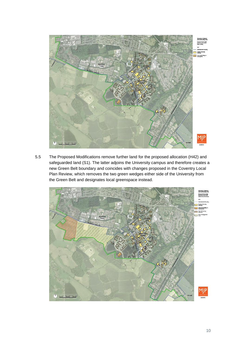

5.5 The Proposed Modifications remove further land for the proposed allocation (H42) and safeguarded land (S1). The latter adjoins the University campus and therefore creates a new Green Belt boundary and coincides with changes proposed in the Coventry Local Plan Review, which removes the two green wedges either side of the University from the Green Belt and designates local greenspace instead.

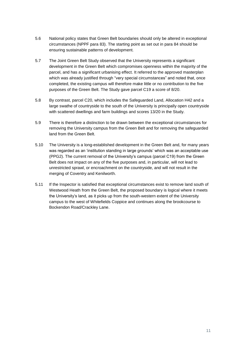- 5.6 National policy states that Green Belt boundaries should only be altered in exceptional circumstances (NPPF para 83). The starting point as set out in para 84 should be ensuring sustainable patterns of development.
- 5.7 The Joint Green Belt Study observed that the University represents a significant development in the Green Belt which compromises openness within the majority of the parcel, and has a significant urbanising effect. It referred to the approved masterplan which was already justified through "very special circumstances" and noted that, once completed, the existing campus will therefore make little or no contribution to the five purposes of the Green Belt. The Study gave parcel C19 a score of 8/20.
- 5.8 By contrast, parcel C20, which includes the Safeguarded Land, Allocation H42 and a large swathe of countryside to the south of the University is principally open countryside with scattered dwellings and farm buildings and scores 13/20 in the Study.
- 5.9 There is therefore a distinction to be drawn between the exceptional circumstances for removing the University campus from the Green Belt and for removing the safeguarded land from the Green Belt.
- 5.10 The University is a long-established development in the Green Belt and, for many years was regarded as an 'institution standing in large grounds' which was an acceptable use (PPG2). The current removal of the University's campus (parcel C19) from the Green Belt does not impact on any of the five purposes and, in particular, will not lead to unrestricted sprawl, or encroachment on the countryside, and will not result in the merging of Coventry and Kenilworth.
- 5.11 If the Inspector is satisfied that exceptional circumstances exist to remove land south of Westwood Heath from the Green Belt, the proposed boundary is logical where it meets the University's land, as it picks up from the south-western extent of the University campus to the west of Whitefields Coppice and continues along the brookcourse to Bockendon Road/Crackley Lane.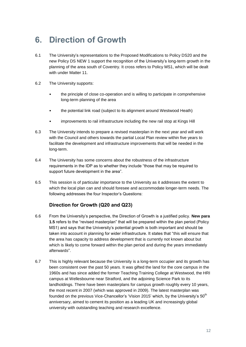### <span id="page-11-0"></span>**6. Direction of Growth**

- 6.1 The University's representations to the Proposed Modifications to Policy DS20 and the new Policy DS NEW 1 support the recognition of the University's long-term growth in the planning of the area south of Coventry. It cross refers to Policy MS1, which will be dealt with under Matter 11.
- 6.2 The University supports:
	- the principle of close co-operation and is willing to participate in comprehensive long-term planning of the area
	- the potential link road (subject to its alignment around Westwood Heath)
	- improvements to rail infrastructure including the new rail stop at Kings Hill
- 6.3 The University intends to prepare a revised masterplan in the next year and will work with the Council and others towards the partial Local Plan review within five years to facilitate the development and infrastructure improvements that will be needed in the long-term.
- 6.4 The University has some concerns about the robustness of the infrastructure requirements in the IDP as to whether they include "those that may be required to support future development in the area".
- 6.5 This session is of particular importance to the University as it addresses the extent to which the local plan can and should foresee and accommodate longer-term needs. The following addresses the four Inspector's Questions:

#### **Direction for Growth (Q20 and Q23)**

- 6.6 From the University's perspective, the Direction of Growth is a justified policy. **New para 1.5** refers to the "revised masterplan" that will be prepared within the plan period (Policy MS1) and says that the University's potential growth is both important and should be taken into account in planning for wider infrastructure. It states that "this will ensure that the area has capacity to address development that is currently not known about but which is likely to come forward within the plan period and during the years immediately afterward*s*".
- 6.7 This is highly relevant because the University is a long-term occupier and its growth has been consistent over the past 50 years. It was gifted the land for the core campus in the 1960s and has since added the former Teaching Training College at Westwood, the HRI campus at Wellesbourne near Stratford, and the adjoining Science Park to its landholdings. There have been masterplans for campus growth roughly every 10 years, the most recent in 2007 (which was approved in 2009). The latest masterplan was founded on the previous Vice-Chancellor's 'Vision 2015' which, by the University's 50<sup>th</sup> anniversary, aimed to cement its position as a leading UK and increasingly global university with outstanding teaching and research excellence.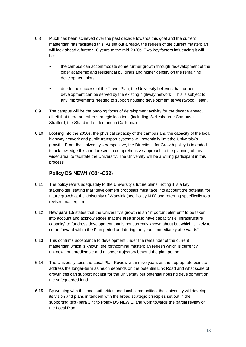- 6.8 Much has been achieved over the past decade towards this goal and the current masterplan has facilitated this. As set out already, the refresh of the current masterplan will look ahead a further 10 years to the mid-2020s. Two key factors influencing it will be:
	- the campus can accommodate some further growth through redevelopment of the older academic and residential buildings and higher density on the remaining development plots
	- due to the success of the Travel Plan, the University believes that further development can be served by the existing highway network. This is subject to any improvements needed to support housing development at Westwood Heath.
- 6.9 The campus will be the ongoing focus of development activity for the decade ahead, albeit that there are other strategic locations (including Wellesbourne Campus in Stratford, the Shard in London and in California).
- 6.10 Looking into the 2030s, the physical capacity of the campus and the capacity of the local highway network and public transport systems will potentially limit the University's growth. From the University's perspective, the Directions for Growth policy is intended to acknowledge this and foresees a comprehensive approach to the planning of this wider area, to facilitate the University. The University will be a willing participant in this process.

#### **Policy DS NEW1 (Q21-Q22)**

- 6.11 The policy refers adequately to the University's future plans, noting it is a key stakeholder, stating that "development proposals must take into account the potential for future growth at the University of Warwick (see Policy M1)" and referring specifically to a revised masterplan.
- 6.12 New **para 1.5** states that the University's growth is an "important element" to be taken into account and acknowledges that the area should have capacity (ie. infrastructure capacity) to "address development that is not currently known about but which is likely to come forward within the Plan period and during the years immediately afterwards".
- 6.13 This confirms acceptance to development under the remainder of the current masterplan which is known, the forthcoming masterplan refresh which is currently unknown but predictable and a longer trajectory beyond the plan period.
- 6.14 The University sees the Local Plan Review within five years as the appropriate point to address the longer-term as much depends on the potential Link Road and what scale of growth this can support not just for the University but potential housing development on the safeguarded land.
- 6.15 By working with the local authorities and local communities, the University will develop its vision and plans in tandem with the broad strategic principles set out in the supporting text (para 1.4) to Policy DS NEW 1, and work towards the partial review of the Local Plan.